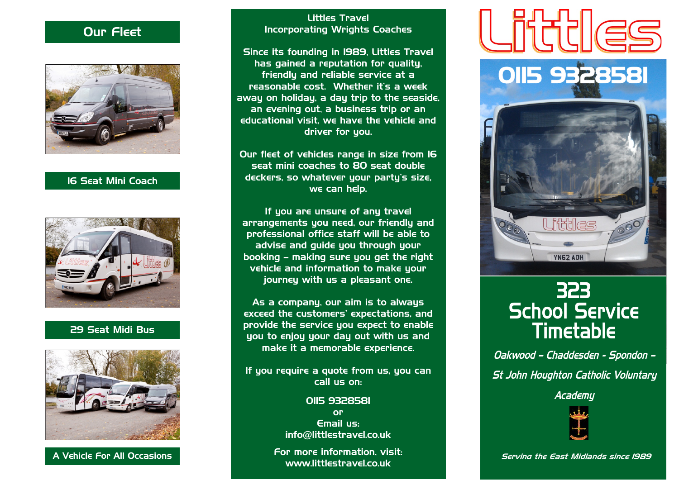### Our Fleet



### 16 Seat Mini Coach



### 29 Seat Midi Bus



#### Littles Travel Incorporating Wrights Coaches

Since its founding in 1989, Littles Travel has gained a reputation for quality, friendly and reliable service at a reasonable cost. Whether it's a week away on holiday, a day trip to the seaside, an evening out, a business trip or an educational visit, we have the vehicle and driver for you.

Our fleet of vehicles range in size from 16 seat mini coaches to 80 seat double deckers, so whatever your party's size, we can help.

If you are unsure of any travel arrangements you need, our friendly and professional office staff will be able to advise and guide you through your booking – making sure you get the right vehicle and information to make your journey with us a pleasant one.

As a company, our aim is to always exceed the customers' expectations, and provide the service you expect to enable you to enjoy your day out with us and make it a memorable experience.

If you require a quote from us, you can call us on:

> 0115 9328581 or Email us: info@littlestravel.co.uk

For more information, visit: www.littlestravel.co.uk





# 323 School Service Timetable

Oakwood – Chaddesden - Spondon – St John Houghton Catholic Voluntary

**Academu** 



Serving the East Midlands since 1989